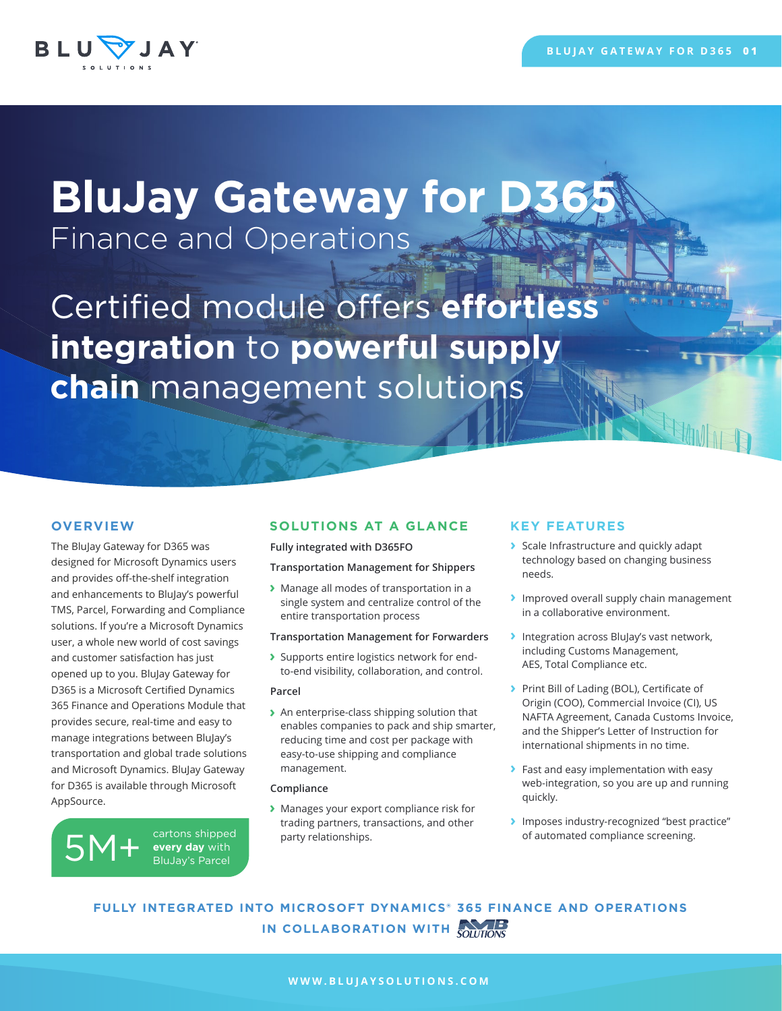

# **BluJay Gateway for D36** Finance and Operations

Certified module offers effortless **integration** to **powerful supply chain** management solutions

The BluJay Gateway for D365 was designed for Microsoft Dynamics users and provides off-the-shelf integration and enhancements to BluJay's powerful TMS, Parcel, Forwarding and Compliance solutions. If you're a Microsoft Dynamics user, a whole new world of cost savings and customer satisfaction has just opened up to you. BluJay Gateway for D365 is a Microsoft Certified Dynamics 365 Finance and Operations Module that provides secure, real-time and easy to manage integrations between BluJay's transportation and global trade solutions and Microsoft Dynamics. BluJay Gateway for D365 is available through Microsoft AppSource.

 $5M+$  cartons shipped<br>BluJay's Parcel **every day** with BluJay's Parcel

# **OVERVIEW SOLUTIONS AT A GLANCE**

**Fully integrated with D365FO**

#### **Transportation Management for Shippers**

**›** Manage all modes of transportation in a single system and centralize control of the entire transportation process

### **Transportation Management for Forwarders**

**›** Supports entire logistics network for endto-end visibility, collaboration, and control.

#### **Parcel**

**›** An enterprise-class shipping solution that enables companies to pack and ship smarter, reducing time and cost per package with easy-to-use shipping and compliance management.

### **Compliance**

**›** Manages your export compliance risk for trading partners, transactions, and other party relationships.

# **KEY FEATURES**

- **›** Scale Infrastructure and quickly adapt technology based on changing business needs.
- **›** Improved overall supply chain management in a collaborative environment.
- **›** Integration across BluJay's vast network, including Customs Management, AES, Total Compliance etc.
- **›** Print Bill of Lading (BOL), Certificate of Origin (COO), Commercial Invoice (CI), US NAFTA Agreement, Canada Customs Invoice, and the Shipper's Letter of Instruction for international shipments in no time.
- **›** Fast and easy implementation with easy web-integration, so you are up and running quickly.
- **›** Imposes industry-recognized "best practice" of automated compliance screening.

# **FULLY INTEGRATED INTO MICROSOFT DYNAMICS® 365 FINANCE AND OPERATIONS IN COLLABORATION WITH COLLEGE**

## **WWW.BLUJAYSOLUTIONS.COM**